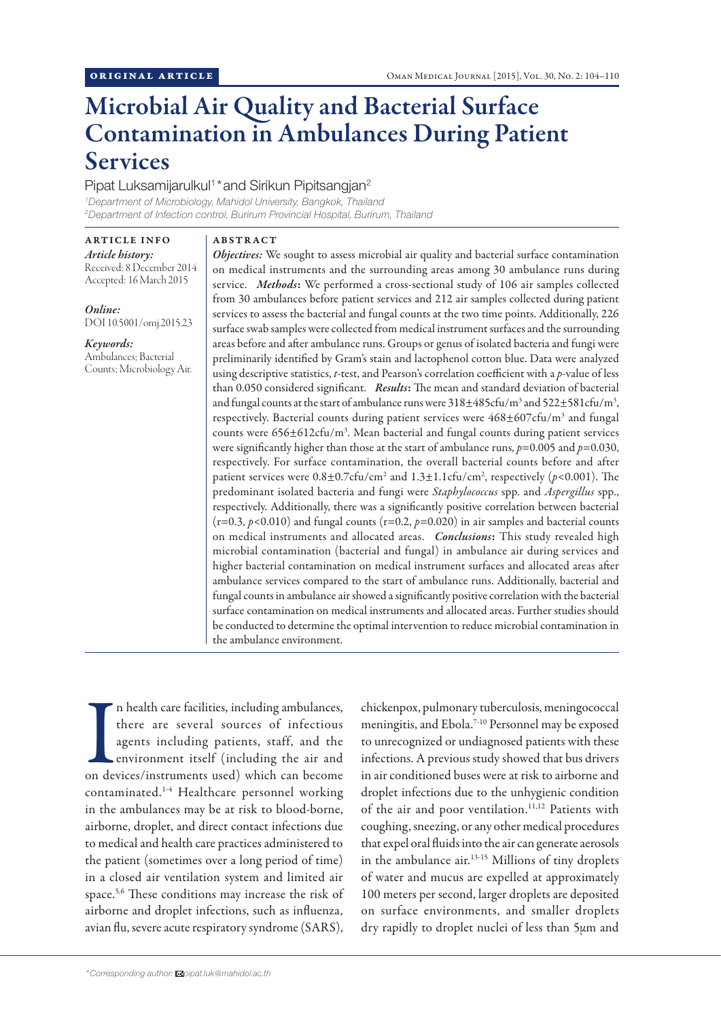# Microbial Air Quality and Bacterial Surface Contamination in Ambulances During Patient Services

# Pipat Luksamijarulkul<sup>1</sup>\* and Sirikun Pipitsangjan<sup>2</sup>

*1 Department of Microbiology, Mahidol University, Bangkok, Thailand 2 Department of Infection control, Burirum Provincial Hospital, Burirum, Thailand*

ARTICLE INFO *Article history:*  Received: 8 December 2014 Accepted: 16 March 2015

*Online:* DOI 10.5001/omj.2015.23

*Keywords:*  Ambulances; Bacterial Counts; Microbiology Air.

## ABSTRACT

*Objectives:* We sought to assess microbial air quality and bacterial surface contamination on medical instruments and the surrounding areas among 30 ambulance runs during service. *Methods*: We performed a cross-sectional study of 106 air samples collected from 30 ambulances before patient services and 212 air samples collected during patient services to assess the bacterial and fungal counts at the two time points. Additionally, 226 surface swab samples were collected from medical instrument surfaces and the surrounding areas before and after ambulance runs. Groups or genus of isolated bacteria and fungi were preliminarily identified by Gram's stain and lactophenol cotton blue. Data were analyzed using descriptive statistics, *t*-test, and Pearson's correlation coefficient with a *p*-value of less than 0.050 considered significant. *Results*: The mean and standard deviation of bacterial and fungal counts at the start of ambulance runs were  $318\pm485$ cfu/m<sup>3</sup> and  $522\pm581$ cfu/m<sup>3</sup>, respectively. Bacterial counts during patient services were 468±607cfu/m<sup>3</sup> and fungal counts were 656±612cfu/m3 . Mean bacterial and fungal counts during patient services were significantly higher than those at the start of ambulance runs, *p*=0.005 and *p*=0.030, respectively. For surface contamination, the overall bacterial counts before and after patient services were  $0.8 \pm 0.7$ cfu/cm<sup>2</sup> and  $1.3 \pm 1.1$ cfu/cm<sup>2</sup>, respectively (p<0.001). The predominant isolated bacteria and fungi were *Staphylococcus* spp. and *Aspergillus* spp., respectively. Additionally, there was a significantly positive correlation between bacterial  $(r=0.3, p<0.010)$  and fungal counts  $(r=0.2, p=0.020)$  in air samples and bacterial counts on medical instruments and allocated areas. *Conclusions*: This study revealed high microbial contamination (bacterial and fungal) in ambulance air during services and higher bacterial contamination on medical instrument surfaces and allocated areas after ambulance services compared to the start of ambulance runs. Additionally, bacterial and fungal counts in ambulance air showed a significantly positive correlation with the bacterial surface contamination on medical instruments and allocated areas. Further studies should be conducted to determine the optimal intervention to reduce microbial contamination in the ambulance environment.

In health care facilities, including ambulances,<br>there are several sources of infectious<br>agents including patients, staff, and the<br>environment itself (including the air and<br>on devices/instruments used) which can become n health care facilities, including ambulances, there are several sources of infectious agents including patients, staff, and the environment itself (including the air and contaminated.1-4 Healthcare personnel working in the ambulances may be at risk to blood-borne, airborne, droplet, and direct contact infections due to medical and health care practices administered to the patient (sometimes over a long period of time) in a closed air ventilation system and limited air space.5,6 These conditions may increase the risk of airborne and droplet infections, such as influenza, avian flu, severe acute respiratory syndrome (SARS),

chickenpox, pulmonary tuberculosis, meningococcal meningitis, and Ebola.7-10 Personnel may be exposed to unrecognized or undiagnosed patients with these infections. A previous study showed that bus drivers in air conditioned buses were at risk to airborne and droplet infections due to the unhygienic condition of the air and poor ventilation.<sup>11,12</sup> Patients with coughing, sneezing, or any other medical procedures that expel oral fluids into the air can generate aerosols in the ambulance air.13-15 Millions of tiny droplets of water and mucus are expelled at approximately 100 meters per second, larger droplets are deposited on surface environments, and smaller droplets dry rapidly to droplet nuclei of less than 5µm and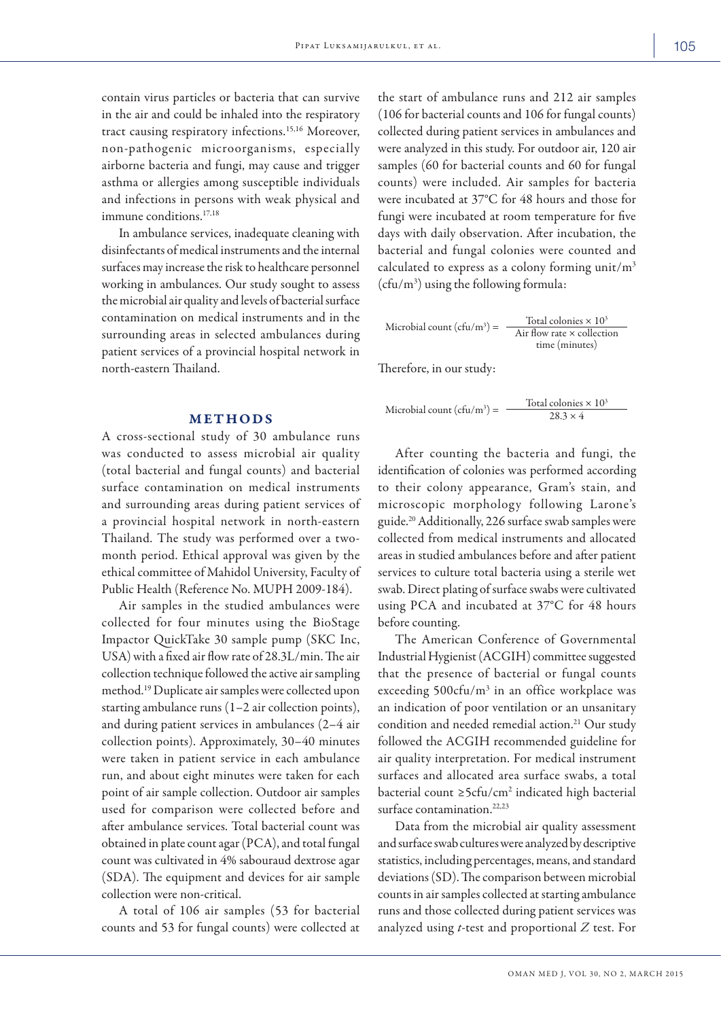contain virus particles or bacteria that can survive in the air and could be inhaled into the respiratory tract causing respiratory infections.15,16 Moreover, non-pathogenic microorganisms, especially airborne bacteria and fungi, may cause and trigger asthma or allergies among susceptible individuals and infections in persons with weak physical and immune conditions.<sup>17,18</sup>

In ambulance services, inadequate cleaning with disinfectants of medical instruments and the internal surfaces may increase the risk to healthcare personnel working in ambulances. Our study sought to assess the microbial air quality and levels of bacterial surface contamination on medical instruments and in the surrounding areas in selected ambulances during patient services of a provincial hospital network in north-eastern Thailand.

## **METHODS**

A cross-sectional study of 30 ambulance runs was conducted to assess microbial air quality (total bacterial and fungal counts) and bacterial surface contamination on medical instruments and surrounding areas during patient services of a provincial hospital network in north-eastern Thailand. The study was performed over a twomonth period. Ethical approval was given by the ethical committee of Mahidol University, Faculty of Public Health (Reference No. MUPH 2009-184).

Air samples in the studied ambulances were collected for four minutes using the BioStage Impactor QuickTake 30 sample pump (SKC Inc, USA) with a fixed air flow rate of 28.3L/min. The air collection technique followed the active air sampling method.19 Duplicate air samples were collected upon starting ambulance runs (1–2 air collection points), and during patient services in ambulances (2–4 air collection points). Approximately, 30–40 minutes were taken in patient service in each ambulance run, and about eight minutes were taken for each point of air sample collection. Outdoor air samples used for comparison were collected before and after ambulance services. Total bacterial count was obtained in plate count agar (PCA), and total fungal count was cultivated in 4% sabouraud dextrose agar (SDA). The equipment and devices for air sample collection were non-critical.

A total of 106 air samples (53 for bacterial counts and 53 for fungal counts) were collected at

the start of ambulance runs and 212 air samples (106 for bacterial counts and 106 for fungal counts) collected during patient services in ambulances and were analyzed in this study. For outdoor air, 120 air samples (60 for bacterial counts and 60 for fungal counts) were included. Air samples for bacteria were incubated at 37°C for 48 hours and those for fungi were incubated at room temperature for five days with daily observation. After incubation, the bacterial and fungal colonies were counted and calculated to express as a colony forming unit/ $m<sup>3</sup>$ (cfu/m3 ) using the following formula:

Microbial count  $(cfu/m^3)$  = Total colonies  $\times$  10<sup>3</sup> Air flow rate  $\times$  collection time (minutes)

Therefore, in our study:

Microbial count  $(cfu/m^3)$  = Total colonies  $\times$  10<sup>3</sup>  $28.3 \times 4$ 

After counting the bacteria and fungi, the identification of colonies was performed according to their colony appearance, Gram's stain, and microscopic morphology following Larone's guide.20 Additionally, 226 surface swab samples were collected from medical instruments and allocated areas in studied ambulances before and after patient services to culture total bacteria using a sterile wet swab. Direct plating of surface swabs were cultivated using PCA and incubated at 37°C for 48 hours before counting.

The American Conference of Governmental Industrial Hygienist (ACGIH) committee suggested that the presence of bacterial or fungal counts exceeding 500cfu/m<sup>3</sup> in an office workplace was an indication of poor ventilation or an unsanitary condition and needed remedial action.<sup>21</sup> Our study followed the ACGIH recommended guideline for air quality interpretation. For medical instrument surfaces and allocated area surface swabs, a total bacterial count  $\geq$ 5cfu/cm<sup>2</sup> indicated high bacterial surface contamination.22,23

Data from the microbial air quality assessment and surface swab cultures were analyzed by descriptive statistics, including percentages, means, and standard deviations (SD). The comparison between microbial counts in air samples collected at starting ambulance runs and those collected during patient services was analyzed using *t*-test and proportional *Z* test. For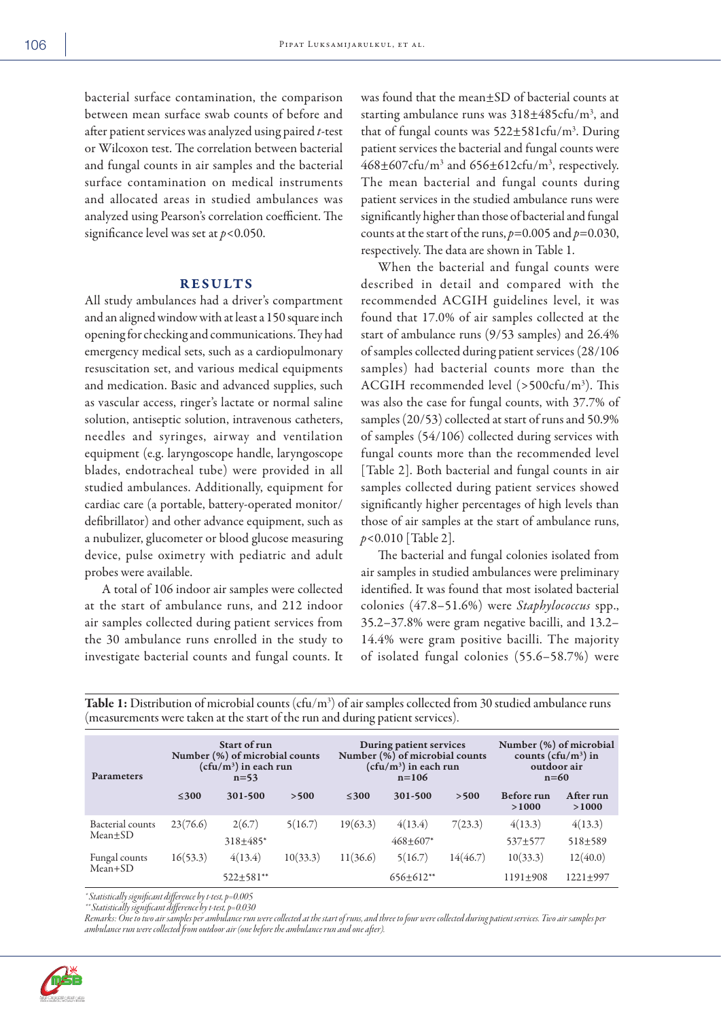bacterial surface contamination, the comparison between mean surface swab counts of before and after patient services was analyzed using paired *t*-test or Wilcoxon test. The correlation between bacterial and fungal counts in air samples and the bacterial surface contamination on medical instruments and allocated areas in studied ambulances was analyzed using Pearson's correlation coefficient. The significance level was set at *p*<0.050.

## **RESULTS**

All study ambulances had a driver's compartment and an aligned window with at least a 150 square inch opening for checking and communications. They had emergency medical sets, such as a cardiopulmonary resuscitation set, and various medical equipments and medication. Basic and advanced supplies, such as vascular access, ringer's lactate or normal saline solution, antiseptic solution, intravenous catheters, needles and syringes, airway and ventilation equipment (e.g. laryngoscope handle, laryngoscope blades, endotracheal tube) were provided in all studied ambulances. Additionally, equipment for cardiac care (a portable, battery-operated monitor/ defibrillator) and other advance equipment, such as a nubulizer, glucometer or blood glucose measuring device, pulse oximetry with pediatric and adult probes were available.

A total of 106 indoor air samples were collected at the start of ambulance runs, and 212 indoor air samples collected during patient services from the 30 ambulance runs enrolled in the study to investigate bacterial counts and fungal counts. It was found that the mean±SD of bacterial counts at starting ambulance runs was  $318\pm485$ cfu/m<sup>3</sup>, and that of fungal counts was  $522 \pm 581$ cfu/m<sup>3</sup>. During patient services the bacterial and fungal counts were  $468\pm607$ cfu/m<sup>3</sup> and  $656\pm612$ cfu/m<sup>3</sup>, respectively. The mean bacterial and fungal counts during patient services in the studied ambulance runs were significantly higher than those of bacterial and fungal counts at the start of the runs, *p*=0.005 and *p*=0.030, respectively. The data are shown in Table 1.

When the bacterial and fungal counts were described in detail and compared with the recommended ACGIH guidelines level, it was found that 17.0% of air samples collected at the start of ambulance runs (9/53 samples) and 26.4% of samples collected during patient services (28/106 samples) had bacterial counts more than the ACGIH recommended level (>500cfu/m3 ). This was also the case for fungal counts, with 37.7% of samples (20/53) collected at start of runs and 50.9% of samples (54/106) collected during services with fungal counts more than the recommended level [Table 2]. Both bacterial and fungal counts in air samples collected during patient services showed significantly higher percentages of high levels than those of air samples at the start of ambulance runs, *p*<0.010 [Table 2].

The bacterial and fungal colonies isolated from air samples in studied ambulances were preliminary identified. It was found that most isolated bacterial colonies (47.8–51.6%) were *Staphylococcus* spp., 35.2–37.8% were gram negative bacilli, and 13.2– 14.4% were gram positive bacilli. The majority of isolated fungal colonies (55.6–58.7%) were

| <b>Parameters</b>           | Start of run<br>Number (%) of microbial counts<br>(cfu/m <sup>3</sup> ) in each run<br>$n = 53$ |                            |          | During patient services<br>Number (%) of microbial counts<br>(cfu/m $^3$ ) in each run<br>$n = 106$ |                        |          | Number (%) of microbial<br>counts ( $cfu/m^3$ ) in<br>outdoor air<br>$n=60$ |                          |
|-----------------------------|-------------------------------------------------------------------------------------------------|----------------------------|----------|-----------------------------------------------------------------------------------------------------|------------------------|----------|-----------------------------------------------------------------------------|--------------------------|
|                             | $≤300$                                                                                          | 301-500                    | >500     | $≤300$                                                                                              | 301-500                | >500     | Before run<br>>1000                                                         | After run<br>>1000       |
| Bacterial counts<br>Mean+SD | 23(76.6)                                                                                        | 2(6.7)<br>318±485*         | 5(16.7)  | 19(63.3)                                                                                            | 4(13.4)<br>$468+607*$  | 7(23.3)  | 4(13.3)<br>537±577                                                          | 4(13.3)<br>$518 + 589$   |
| Fungal counts<br>$Mean+SD$  | 16(53.3)                                                                                        | 4(13.4)<br>$522 \pm 581**$ | 10(33.3) | 11(36.6)                                                                                            | 5(16.7)<br>$656+612**$ | 14(46.7) | 10(33.3)<br>$1191 + 908$                                                    | 12(40.0)<br>$1221 + 997$ |

**Table 1:** Distribution of microbial counts (cfu/m<sup>3</sup>) of air samples collected from 30 studied ambulance runs (measurements were taken at the start of the run and during patient services).

*\* Statistically significant difference by t-test, p=0.005*

*\*\* Statistically significant difference by t-test, p=0.030 Remarks: One to two air samples per ambulance run were collected at the start of runs, and three to four were collected during patient services. Two air samples per ambulance run were collected from outdoor air (one before the ambulance run and one after).*

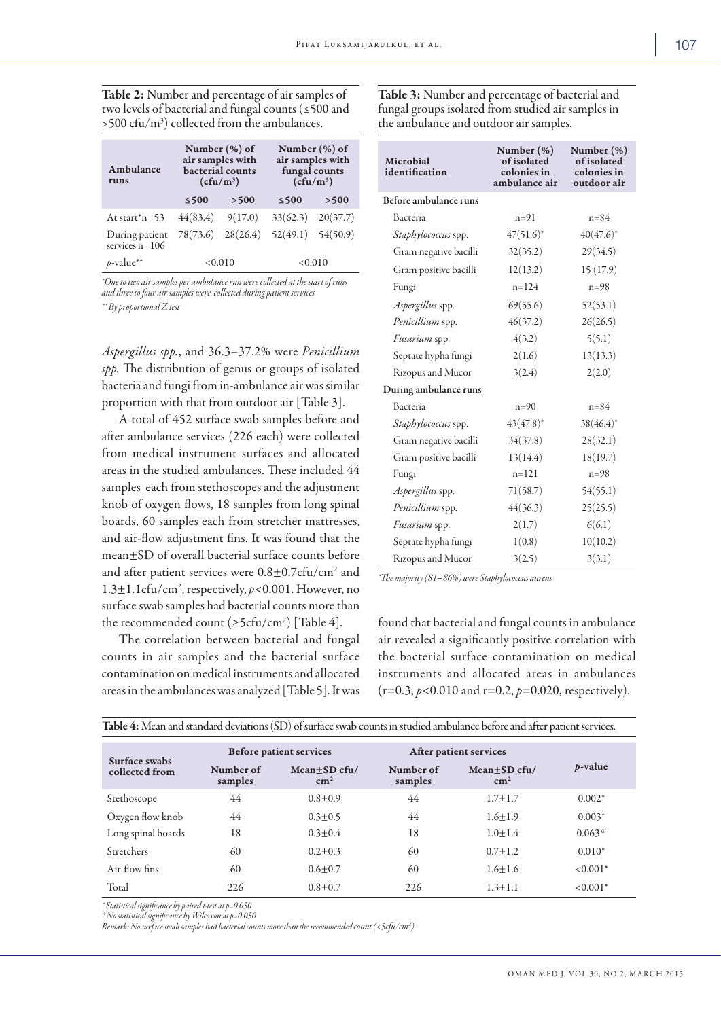Table 2: Number and percentage of air samples of two levels of bacterial and fungal counts (≤500 and  $>$  500 cfu/m<sup>3</sup>) collected from the ambulances.

| Ambulance<br>runs                  |                      | Number $(\%)$ of<br>air samples with<br><b>bacterial</b> counts<br>$(cfu/m^3)$ | Number $(\%)$ of<br>air samples with<br>fungal counts<br>$(cfu/m^3)$ |      |  |
|------------------------------------|----------------------|--------------------------------------------------------------------------------|----------------------------------------------------------------------|------|--|
|                                    | $≤500$               | >500                                                                           | $≤ 500$                                                              | >500 |  |
| At start $n=53$                    | $44(83.4)$ $9(17.0)$ |                                                                                | $33(62.3)$ $20(37.7)$                                                |      |  |
| During patient<br>services $n=106$ | 78(73.6)             | 28(26.4)                                                                       | $52(49.1)$ $54(50.9)$                                                |      |  |
| $p$ -value**                       | <0.010               |                                                                                | < 0.010                                                              |      |  |

*\*One to two air samples per ambulance run were collected at the start of runs and three to four air samples were collected during patient services \*\* By proportional Z test*

*Aspergillus spp.*, and 36.3–37.2% were *Penicillium spp.* The distribution of genus or groups of isolated bacteria and fungi from in-ambulance air was similar proportion with that from outdoor air [Table 3].

A total of 452 surface swab samples before and after ambulance services (226 each) were collected from medical instrument surfaces and allocated areas in the studied ambulances. These included 44 samples each from stethoscopes and the adjustment knob of oxygen flows, 18 samples from long spinal boards, 60 samples each from stretcher mattresses, and air-flow adjustment fins. It was found that the mean±SD of overall bacterial surface counts before and after patient services were  $0.8 \pm 0.7$ cfu/cm<sup>2</sup> and 1.3±1.1cfu/cm2 , respectively, *p*<0.001. However, no surface swab samples had bacterial counts more than the recommended count ( $\geq$ 5cfu/cm<sup>2</sup>) [Table 4].

The correlation between bacterial and fungal counts in air samples and the bacterial surface contamination on medical instruments and allocated areas in the ambulances was analyzed [Table 5]. It was

| Microbial<br>identification | Number $(\%)$<br>of isolated<br>colonies in<br>ambulance air | Number (%)<br>of isolated<br>colonies in<br>outdoor air |  |
|-----------------------------|--------------------------------------------------------------|---------------------------------------------------------|--|
| Before ambulance runs       |                                                              |                                                         |  |
| Bacteria                    | $n = 91$                                                     | $n = 84$                                                |  |
| Staphylococcus spp.         | $47(51.6)^*$                                                 | $40(47.6)^*$                                            |  |
| Gram negative bacilli       | 32(35.2)                                                     | 29(34.5)                                                |  |
| Gram positive bacilli       | 12(13.2)                                                     | 15(17.9)                                                |  |
| Fungi                       | $n = 124$                                                    | $n = 98$                                                |  |
| <i>Aspergillus</i> spp.     | 69(55.6)                                                     | 52(53.1)                                                |  |
| Penicillium spp.            | 46(37.2)                                                     | 26(26.5)                                                |  |
| Fusarium spp.               | 4(3.2)                                                       | 5(5.1)                                                  |  |
| Septate hypha fungi         | 2(1.6)                                                       | 13(13.3)                                                |  |
| Rizopus and Mucor           | 3(2.4)                                                       | 2(2.0)                                                  |  |
| During ambulance runs       |                                                              |                                                         |  |
| Bacteria                    | $n=90$                                                       | $n = 84$                                                |  |
| <i>Staphylococcus</i> spp.  | $43(47.8)^*$                                                 | $38(46.4)^*$                                            |  |
| Gram negative bacilli       | 34(37.8)                                                     | 28(32.1)                                                |  |
| Gram positive bacilli       | 13(14.4)                                                     | 18(19.7)                                                |  |
| Fungi                       | $n = 121$                                                    | $n = 98$                                                |  |
| Aspergillus spp.            | 71(58.7)                                                     | 54(55.1)                                                |  |
| Penicillium spp.            | 44(36.3)                                                     | 25(25.5)                                                |  |
| Fusarium spp.               | 2(1.7)                                                       | 6(6.1)                                                  |  |
| Septate hypha fungi         | 1(0.8)                                                       | 10(10.2)                                                |  |
| Rizopus and Mucor           | 3(2.5)                                                       | 3(3.1)                                                  |  |

Table 3: Number and percentage of bacterial and fungal groups isolated from studied air samples in

the ambulance and outdoor air samples.

*\*The majority (81–86%) were Staphylococcus aureus*

found that bacterial and fungal counts in ambulance air revealed a significantly positive correlation with the bacterial surface contamination on medical instruments and allocated areas in ambulances (r=0.3, *p*<0.010 and r=0.2, *p*=0.020, respectively).

| Table 4: Mean and standard deviations (SD) of surface swab counts in studied ambulance before and after patient services. |                      |                                   |                        |                               |                 |
|---------------------------------------------------------------------------------------------------------------------------|----------------------|-----------------------------------|------------------------|-------------------------------|-----------------|
| Surface swabs                                                                                                             |                      | <b>Before patient services</b>    | After patient services |                               |                 |
| collected from                                                                                                            | Number of<br>samples | $Mean + SD$ cfu/<br>$\text{cm}^2$ | Number of<br>samples   | Mean+SD cfu/<br>$\text{cm}^2$ | <i>p</i> -value |
| Stethoscope                                                                                                               | 44                   | $0.8 + 0.9$                       | 44                     | $1.7 + 1.7$                   | $0.002*$        |
| Oxygen flow knob                                                                                                          | 44                   | $0.3 + 0.5$                       | 44                     | $1.6 + 1.9$                   | $0.003*$        |
| Long spinal boards                                                                                                        | 18                   | $0.3 + 0.4$                       | 18                     | $1.0 + 1.4$                   | $0.063^{\rm w}$ |
| Stretchers                                                                                                                | 60                   | $0.2 + 0.3$                       | 60                     | $0.7 + 1.2$                   | $0.010*$        |
| Air-flow fins                                                                                                             | 60                   | $0.6 + 0.7$                       | 60                     | $1.6 + 1.6$                   | $< 0.001*$      |
| Total                                                                                                                     | 226                  | $0.8 + 0.7$                       | 226                    | $1.3 \pm 1.1$                 | $< 0.001*$      |

*\* Statistical significance by paired t-test at p=0.050 WNo statistical significance by Wilcoxon at p=0.050*

*Remark: No surface swab samples had bacterial counts more than the recommended count (≤5cfu/cm2 ).*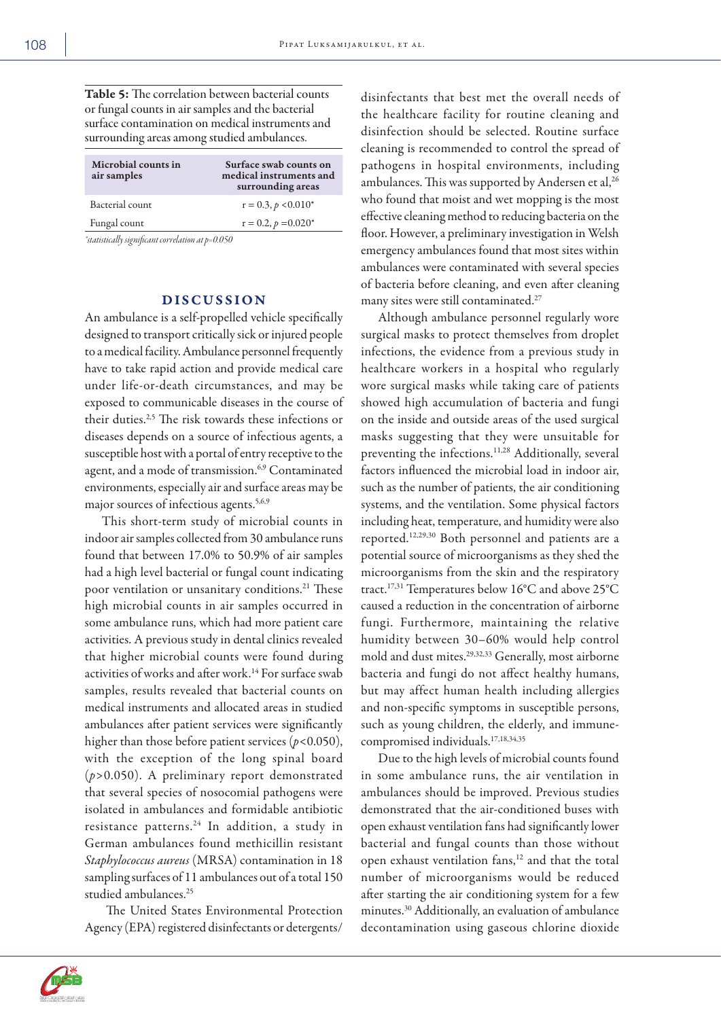Table 5: The correlation between bacterial counts or fungal counts in air samples and the bacterial surface contamination on medical instruments and surrounding areas among studied ambulances.

| Microbial counts in<br>air samples | Surface swab counts on<br>medical instruments and<br>surrounding areas |
|------------------------------------|------------------------------------------------------------------------|
| Bacterial count                    | $r = 0.3$ , $p < 0.010^*$                                              |
| Fungal count                       | $r = 0.2$ , $p = 0.020*$                                               |

*\*statistically significant correlation at p=0.050*

# DISCUSSION

An ambulance is a self-propelled vehicle specifically designed to transport critically sick or injured people to a medical facility. Ambulance personnel frequently have to take rapid action and provide medical care under life-or-death circumstances, and may be exposed to communicable diseases in the course of their duties.2,5 The risk towards these infections or diseases depends on a source of infectious agents, a susceptible host with a portal of entry receptive to the agent, and a mode of transmission.<sup>6,9</sup> Contaminated environments, especially air and surface areas may be major sources of infectious agents.<sup>5,6,9</sup>

This short-term study of microbial counts in indoor air samples collected from 30 ambulance runs found that between 17.0% to 50.9% of air samples had a high level bacterial or fungal count indicating poor ventilation or unsanitary conditions.<sup>21</sup> These high microbial counts in air samples occurred in some ambulance runs, which had more patient care activities. A previous study in dental clinics revealed that higher microbial counts were found during activities of works and after work.14 For surface swab samples, results revealed that bacterial counts on medical instruments and allocated areas in studied ambulances after patient services were significantly higher than those before patient services (*p*<0.050), with the exception of the long spinal board (*p*>0.050). A preliminary report demonstrated that several species of nosocomial pathogens were isolated in ambulances and formidable antibiotic resistance patterns.<sup>24</sup> In addition, a study in German ambulances found methicillin resistant *Staphylococcus aureus* (MRSA) contamination in 18 sampling surfaces of 11 ambulances out of a total 150 studied ambulances.<sup>25</sup>

 The United States Environmental Protection Agency (EPA) registered disinfectants or detergents/ disinfectants that best met the overall needs of the healthcare facility for routine cleaning and disinfection should be selected. Routine surface cleaning is recommended to control the spread of pathogens in hospital environments, including ambulances. This was supported by Andersen et al,<sup>26</sup> who found that moist and wet mopping is the most effective cleaning method to reducing bacteria on the floor. However, a preliminary investigation in Welsh emergency ambulances found that most sites within ambulances were contaminated with several species of bacteria before cleaning, and even after cleaning many sites were still contaminated.27

Although ambulance personnel regularly wore surgical masks to protect themselves from droplet infections, the evidence from a previous study in healthcare workers in a hospital who regularly wore surgical masks while taking care of patients showed high accumulation of bacteria and fungi on the inside and outside areas of the used surgical masks suggesting that they were unsuitable for preventing the infections.11,28 Additionally, several factors influenced the microbial load in indoor air, such as the number of patients, the air conditioning systems, and the ventilation. Some physical factors including heat, temperature, and humidity were also reported.12,29,30 Both personnel and patients are a potential source of microorganisms as they shed the microorganisms from the skin and the respiratory tract.17,31 Temperatures below 16°C and above 25°C caused a reduction in the concentration of airborne fungi. Furthermore, maintaining the relative humidity between 30–60% would help control mold and dust mites.29,32,33 Generally, most airborne bacteria and fungi do not affect healthy humans, but may affect human health including allergies and non-specific symptoms in susceptible persons, such as young children, the elderly, and immunecompromised individuals.17,18,34,35

Due to the high levels of microbial counts found in some ambulance runs, the air ventilation in ambulances should be improved. Previous studies demonstrated that the air-conditioned buses with open exhaust ventilation fans had significantly lower bacterial and fungal counts than those without open exhaust ventilation fans,<sup>12</sup> and that the total number of microorganisms would be reduced after starting the air conditioning system for a few minutes.30 Additionally, an evaluation of ambulance decontamination using gaseous chlorine dioxide



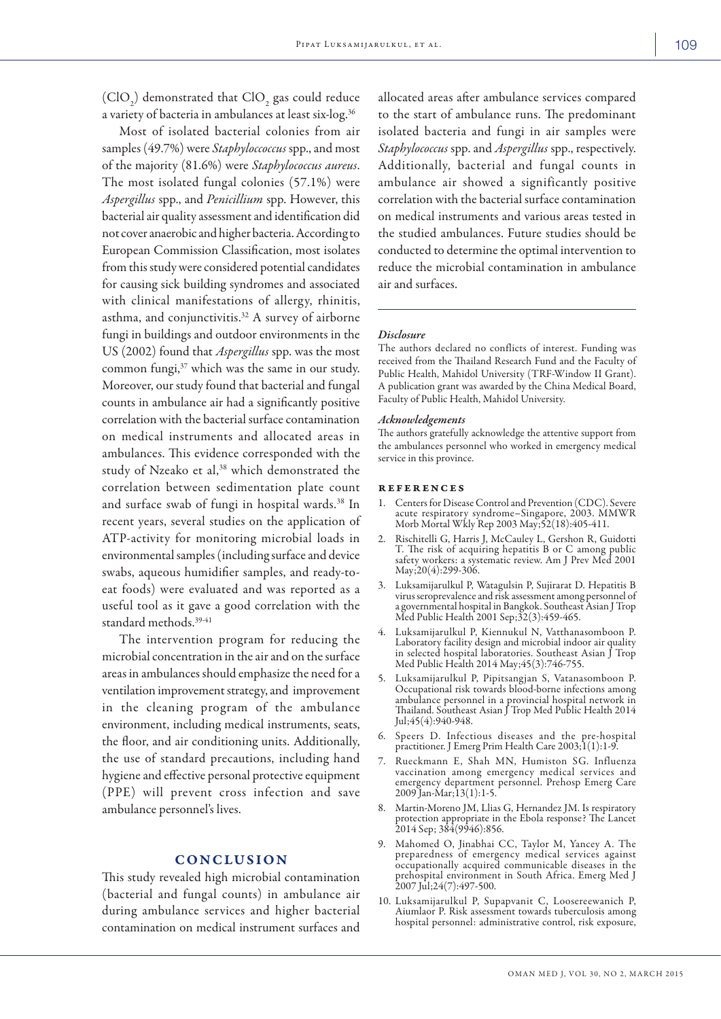(ClO<sub>2</sub>) demonstrated that ClO<sub>2</sub> gas could reduce a variety of bacteria in ambulances at least six-log.36

Most of isolated bacterial colonies from air samples (49.7%) were *Staphyloccoccus* spp., and most of the majority (81.6%) were *Staphylococcus aureus*. The most isolated fungal colonies (57.1%) were *Aspergillus* spp., and *Penicillium* spp. However, this bacterial air quality assessment and identification did not cover anaerobic and higher bacteria. According to European Commission Classification, most isolates from this study were considered potential candidates for causing sick building syndromes and associated with clinical manifestations of allergy, rhinitis, asthma, and conjunctivitis.<sup>32</sup> A survey of airborne fungi in buildings and outdoor environments in the US (2002) found that *Aspergillus* spp. was the most common fungi,<sup>37</sup> which was the same in our study. Moreover, our study found that bacterial and fungal counts in ambulance air had a significantly positive correlation with the bacterial surface contamination on medical instruments and allocated areas in ambulances. This evidence corresponded with the study of Nzeako et al,<sup>38</sup> which demonstrated the correlation between sedimentation plate count and surface swab of fungi in hospital wards.<sup>38</sup> In recent years, several studies on the application of ATP-activity for monitoring microbial loads in environmental samples (including surface and device swabs, aqueous humidifier samples, and ready-toeat foods) were evaluated and was reported as a useful tool as it gave a good correlation with the standard methods.<sup>39-41</sup>

The intervention program for reducing the microbial concentration in the air and on the surface areas in ambulances should emphasize the need for a ventilation improvement strategy, and improvement in the cleaning program of the ambulance environment, including medical instruments, seats, the floor, and air conditioning units. Additionally, the use of standard precautions, including hand hygiene and effective personal protective equipment (PPE) will prevent cross infection and save ambulance personnel's lives.

## **CONCLUSION**

This study revealed high microbial contamination (bacterial and fungal counts) in ambulance air during ambulance services and higher bacterial contamination on medical instrument surfaces and

allocated areas after ambulance services compared to the start of ambulance runs. The predominant isolated bacteria and fungi in air samples were *Staphylococcus* spp. and *Aspergillus* spp., respectively. Additionally, bacterial and fungal counts in ambulance air showed a significantly positive correlation with the bacterial surface contamination on medical instruments and various areas tested in the studied ambulances. Future studies should be conducted to determine the optimal intervention to reduce the microbial contamination in ambulance air and surfaces.

#### *Disclosure*

The authors declared no conflicts of interest. Funding was received from the Thailand Research Fund and the Faculty of Public Health, Mahidol University (TRF-Window II Grant). A publication grant was awarded by the China Medical Board, Faculty of Public Health, Mahidol University.

#### *Acknowledgements*

The authors gratefully acknowledge the attentive support from the ambulances personnel who worked in emergency medical service in this province.

### references

- 1. Centers for Disease Control and Prevention (CDC). Severe acute respiratory syndrome–Singapore, 2003. MMWR Morb Mortal Wkly Rep 2003 May;52(18):405-411.
- 2. Rischitelli G, Harris J, McCauley L, Gershon R, Guidotti T. The risk of acquiring hepatitis B or C among public safety workers: a systematic review. Am J Prev Med 2001 May;20(4):299-306.
- 3. Luksamijarulkul P, Watagulsin P, Sujirarat D. Hepatitis B virus seroprevalence and risk assessment among personnel of a governmental hospital in Bangkok. Southeast Asian J Trop Med Public Health 2001 Sep;  $32(3):459-465$ .
- 4. Luksamijarulkul P, Kiennukul N, Vatthanasomboon P. Laboratory facility design and microbial indoor air quality in selected hospital laboratories. Southeast Asian J Trop Med Public Health 2014 May;45(3):746-755.
- 5. Luksamijarulkul P, Pipitsangjan S, Vatanasomboon P. Occupational risk towards blood-borne infections among ambulance personnel in a provincial hospital network in Thailand. Southeast Asian J Trop Med Public Health 2014 Jul;45(4):940-948.
- 6. Speers D. Infectious diseases and the pre-hospital practitioner. J Emerg Prim Health Care 2003;1(1):1-9.
- 7. Rueckmann E, Shah MN, Humiston SG. Influenza vaccination among emergency medical services and emergency department personnel. Prehosp Emerg Care 2009 Jan-Mar;13(1):1-5.
- 8. Martin-Moreno JM, Llias G, Hernandez JM. Is respiratory protection appropriate in the Ebola response? The Lancet 2014 Sep; 384(9946):856.
- 9. Mahomed O, Jinabhai CC, Taylor M, Yancey A. The preparedness of emergency medical services against occupationally acquired communicable diseases in the prehospital environment in South Africa. Emerg Med J 2007 Jul;24(7):497-500.
- 10. Luksamijarulkul P, Supapvanit C, Loosereewanich P, Aiumlaor P. Risk assessment towards tuberculosis among hospital personnel: administrative control, risk exposure,